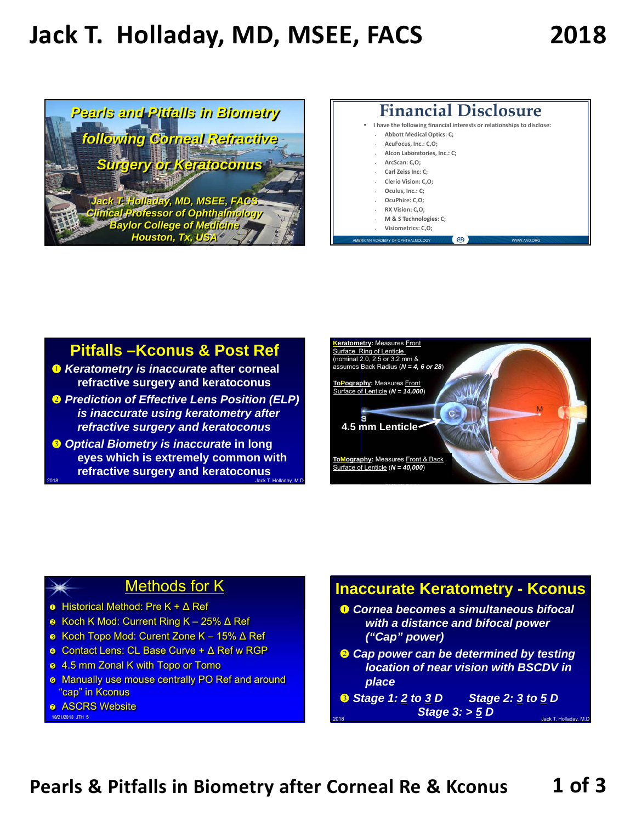# **Jack T. Holladay, MD, MSEE, FACS 2018**



#### **Financial Disclosure I have the following financial interests or relationshipsto disclose: Abbott Medical Optics: C; AcuFocus, Inc.: C,O; Alcon Laboratories, Inc.: C; ArcScan: C,O; Carl Zeiss Inc: C; Clerio Vision: C,O; Oculus, Inc.: C; OcuPhire: C,O; RX Vision: C,O; M & S Technologies: C; Visiometrics: C,O;**

AMERICAN ACADEMY OF OPHTHALMOLOGY

#### **Pitfalls –Kconus & Post Ref**

- *Keratometry is inaccurate* **after corneal refractive surgery and keratoconus**
- *Prediction of Effective Lens Position (ELP) is inaccurate using keratometry after refractive surgery and keratoconus*
- **8** Optical Biometry is inaccurate in long **eyes which is extremely common with refractive surgery and keratoconus** 2018 Jack T. Holladay, M.D. 10/21/2018 JTH 4



### Methods for K

- Historical Method: Pre K +  $\Delta$  Ref
- Koch K Mod: Current Ring K 25% Δ Ref
- Koch Topo Mod: Curent Zone K 15% Δ Ref
- Contact Lens: CL Base Curve + Δ Ref w RGP
- **8** 4.5 mm Zonal K with Topo or Tomo
- **o** Manually use mouse centrally PO Ref and around "cap" in Kconus
- **a** ASCRS Website

10/21/2018 JTH 5

#### **Inaccurate Keratometry - Kconus**

- *Cornea becomes a simultaneous bifocal with a distance and bifocal power ("Cap" power)*
- *Cap power can be determined by testing location of near vision with BSCDV in place*
- *Stage 1: 2 to 3 D Stage 2: 3 to 5 D Stage 3: > 5 D.*
- **Pearls & Pitfalls in Biometry after Corneal Re & Kconus 1 of 3**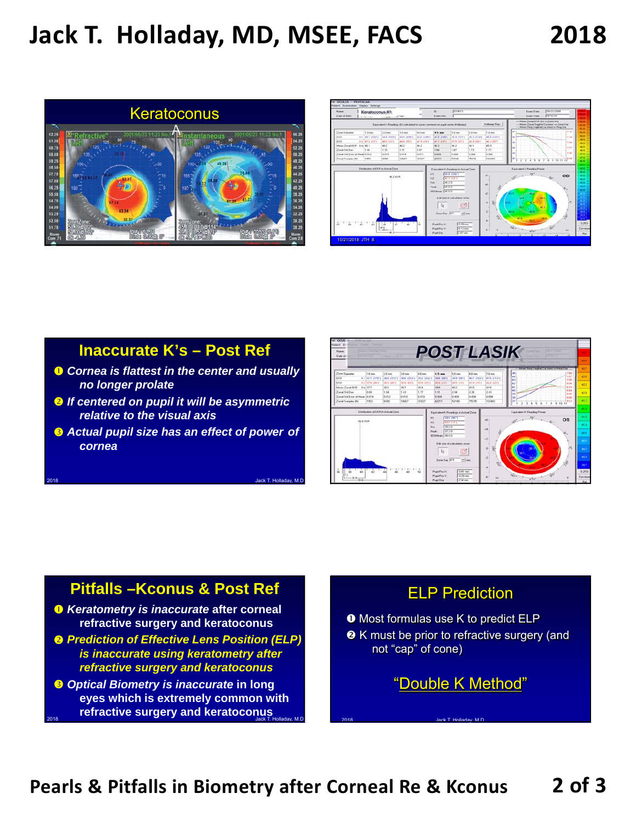# **Jack T. Holladay, MD, MSEE, FACS 2018**





# **Inaccurate K's – Post Ref**

- *Cornea is flattest in the center and usually no longer prolate*
- *If centered on pupil it will be asymmetric relative to the visual axis*
- *Actual pupil size has an effect of power of cornea*



## **Pitfalls –Kconus & Post Ref**

- *Keratometry is inaccurate* **after corneal refractive surgery and keratoconus**
- *Prediction of Effective Lens Position (ELP) is inaccurate using keratometry after refractive surgery and keratoconus*
- **8 Optical Biometry is inaccurate in long eyes which is extremely common with refractive surgery and keratoconus**

### ELP Prediction

**O** Most formulas use K to predict ELP **8** K must be prior to refractive surgery (and not "cap" of cone)

"Double K Method"

2018 Jack T. Holladay, M.D.